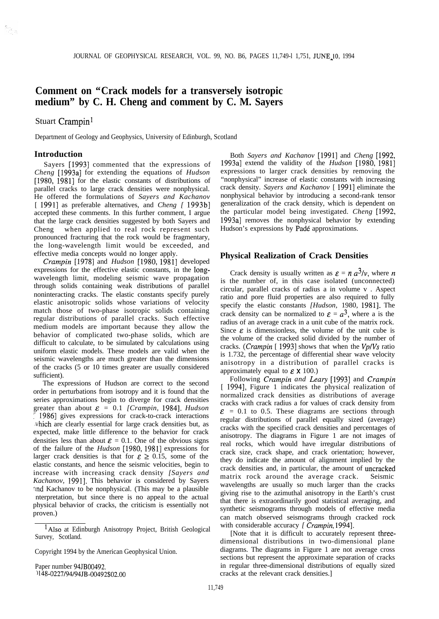# **Comment on "Crack models for a transversely isotropic medium" by C. H. Cheng and comment by C. M. Sayers**

## Stuart Crampin<sup>1</sup>

þ.

Department of Geology and Geophysics, University of Edinburgh, Scotland

#### **Introduction**

Sayers [1993] commented that the expressions of *Cheng* [1993a] for extending the equations of *Hudson* [1980, 1981] for the elastic constants of distributions of parallel cracks to large crack densities were nonphysical. He offered the formulations of *Sayers and Kachanov* [ 1991] as preferable alternatives, and *Cheng [* 1993b] accepted these comments. In this further comment, I argue that the large crack densities suggested by both Sayers and Cheng when applied to real rock represent such pronounced fracturing that the rock would be fragmentary, the long-wavelength limit would be exceeded, and effective media concepts would no longer apply.

*Crampin* [1978] and *Hudson* [1980, 1981] developed expressions for the effective elastic constants, in the longwavelength limit, modeling seismic wave propagation through solids containing weak distributions of parallel noninteracting cracks. The elastic constants specify purely elastic anisotropic solids whose variations of velocity match those of two-phase isotropic solids containing regular distributions of parallel cracks. Such effective medium models are important because they allow the behavior of complicated two-phase solids, which are difficult to calculate, to be simulated by calculations using uniform elastic models. These models are valid when the seismic wavelengths are much greater than the dimensions of the cracks (5 or 10 times greater are usually considered sufficient).

The expressions of Hudson are correct to the second order in perturbations from isotropy and it is found that the series approximations begin to diverge for crack densities greater than about  $\varepsilon = 0.1$  *[Crampin, 1984]. Hudson* 1986] gives expressions for crack-to-crack interactions .vhich are clearly essential for large crack densities but, as expected, make little difference to the behavior for crack densities less than about  $\mathcal{E} = 0.1$ . One of the obvious signs of the failure of the *Hudson* [1980, 19811 expressions for larger crack densities is that for  $\mathcal{E} \geq 0.15$ , some of the elastic constants, and hence the seismic velocities, begin to increase with increasing crack density *[Sayers and Kachanov,* 19911. This behavior is considered by Sayers and Kachanov to be nonphysical. (This may be a plausible nterpretation, but since there is no appeal to the actual physical behavior of cracks, the criticism is essentially not proven.)

<sup>1</sup>Also at Edinburgh Anisotropy Project, British Geological Survey, Scotland.

Copyright 1994 by the American Geophysical Union.

Paper number 94JB00492. ) 148-0227/94/94JB-00492\$02.00

Both *Sayers and Kachanov* [1991] and *Cheng* [1992, 1993a] extend the validity of the *Hudson* [1980, 19811 expressions to larger crack densities by removing the "nonphysical" increase of elastic constants with increasing crack density. *Sayers and Kachanov* [ 19911 eliminate the nonphysical behavior by introducing a second-rank tensor generalization of the crack density, which is dependent on the particular model being investigated. *Cheng* [1992, 1993a] removes the nonphysical behavior by extending Hudson's expressions by Pade approximations.

### **Physical Realization of Crack Densities**

Crack density is usually written as  $\varepsilon = n a^3/v$ , where *n* is the number of, in this case isolated (unconnected) circular, parallel cracks of radius a in volume v . Aspect ratio and pore fluid properties are also required to fully specify the elastic constants [Hudson, 1980, 1981]. The crack density can be normalized to  $\varepsilon = a^3$ , where a is the radius of an average crack in a unit cube of the matrix rock. Since  $\varepsilon$  is dimensionless, the volume of the unit cube is the volume of the cracked solid divided by the number of cracks. *(Crampin* [ 19931 shows that when the *VplVs* ratio is 1.732, the percentage of differential shear wave velocity anisotropy in a distribution of parallel cracks is approximately equal to  $\epsilon \times 100$ .)

Following *Crampin and Leary* [1993] and *Crampin* [ 1994], Figure 1 indicates the physical realization of normalized crack densities as distributions of average cracks with crack radius a for values of crack density from  $\epsilon$  = 0.1 to 0.5. These diagrams are sections through regular distributions of parallel equally sized (average) cracks with the specified crack densities and percentages of anisotropy. The diagrams in Figure 1 are not images of real rocks, which would have irregular distributions of crack size, crack shape, and crack orientation; however, they do indicate the amount of alignment implied by the crack densities and, in particular, the amount of uncracked matrix rock around the average crack. Seismic wavelengths are usually so much larger than the cracks giving rise to the azimuthal anisotropy in the Earth's crust that there is extraordinarily good statistical averaging, and synthetic seismograms through models of effective media can match observed seismograms through cracked rock with considerable accuracy *[ Crampin,* 19941.

[Note that it is difficult to accurately represent threedimensional distributions in two-dimensional plane diagrams. The diagrams in Figure 1 are not average cross sections but represent the approximate separation of cracks in regular three-dimensional distributions of equally sized cracks at the relevant crack densities.]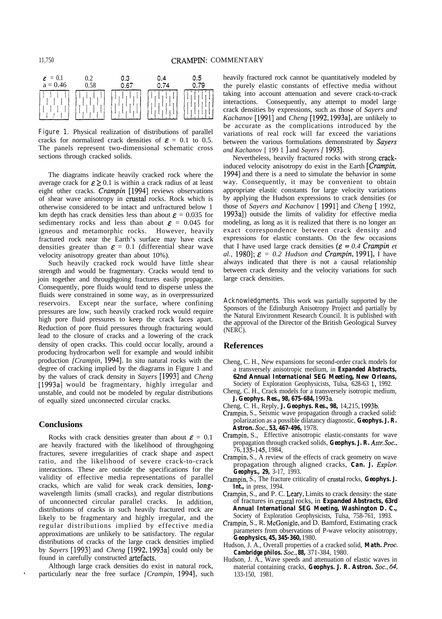

**Figure 1.** Physical realization of distributions of parallel cracks for normalized crack densities of  $\epsilon = 0.1$  to 0.5. The panels represent two-dimensional schematic cross sections through cracked solids.

The diagrams indicate heavily cracked rock where the average crack for  $\mathcal{E} \geq 0.1$  is within a crack radius of at least eight other cracks. *Crampin* [1994] reviews observations of shear wave anisotropy in crustal rocks. Rock which is otherwise considered to be intact and unfractured below 1 km depth has crack densities less than about  $\mathcal{E} = 0.035$  for sedimentary rocks and less than about  $\epsilon = 0.045$  for igneous and metamorphic rocks. However, heavily fractured rock near the Earth's surface may have crack densities greater than  $\mathcal{E} = 0.1$  (differential shear wave velocity anisotropy greater than about 10%).

Such heavily cracked rock would have little shear strength and would be fragmentary. Cracks would tend to join together and throughgoing fractures easily propagate. Consequently, pore fluids would tend to disperse unless the fluids were constrained in some way, as in overpressurized reservoirs. Except near the surface, where confining pressures are low, such heavily cracked rock would require high pore fluid pressures to keep the crack faces apart. Reduction of pore fluid pressures through fracturing would lead to the closure of cracks and a lowering of the crack density of open cracks. This could occur locally, around a producing hydrocarbon well for example and would inhibit production *[Crampin*, 1994]. In situ natural rocks with the degree of cracking implied by the diagrams in Figure 1 and by the values of crack density in *Sayers* [1993] and *Cheng* [1993a] would be fragmentary, highly irregular and unstable, and could not be modeled by regular distributions of equally sized unconnected circular cracks.

#### **Conclusions**

Rocks with crack densities greater than about  $\mathcal{E} = 0.1$ are heavily fractured with the likelihood of throughgoing fractures, severe irregularities of crack shape and aspect ratio, and the likelihood of severe crack-to-crack interactions. These are outside the specifications for the validity of effective media representations of parallel cracks, which are valid for weak crack densities, longwavelength limits (small cracks), and regular distributions of unconnected circular parallel cracks. In addition, distributions of cracks in such heavily fractured rock are likely to be fragmentary and highly irregular, and the regular distributions implied by effective media approximations are unlikely to be satisfactory. The regular distributions of cracks of the large crack densities implied by *Sayers* [1993] and *Cheng* [1992, 1993a] could only be found in carefully constructed artefacts.

Although large crack densities do exist in natural rock, particularly near the free surface *[Crampin, 1994]*, such heavily fractured rock cannot be quantitatively modeled by the purely elastic constants of effective media without taking into account attenuation and severe crack-to-crack interactions. Consequently, any attempt to model large crack densities by expressions, such as those of *Sayers and Kachanov* [1991] and *Cheng* [1992, 1993a], are unlikely to be accurate as the complications introduced by the variations of real rock will far exceed the variations between the various formulations demonstrated by *Suyers and Kachanov* [ 199 1 ] and *Sayers [* 19931.

Nevertheless, heavily fractured rocks with strong crackinduced velocity anisotropy do exist in the Earth *[Crampin,* 19941 and there is a need to simulate the behavior in some way. Consequently, it may be convenient to obtain appropriate elastic constants for large velocity variations by applying the Hudson expressions to crack densities (or those of *Sayers and Kachanov* [ 19911 and *Cheng [* 1992, 1993a]) outside the limits of validity for effective media modeling, as long as it is realized that there is no longer an exact correspondence between crack density and expressions for elastic constants. On the few occasions that I have used large crack densities ( $\varepsilon \approx 0.4$  *Crampin et al.,* 1980];  $\varepsilon = 0.2$  *Hudson and Crampin,* 1991], I have always indicated that there is not a causal relationship between crack density and the velocity variations for such large crack densities.

**Acknowledgments.** This work was partially supported by the Sponsors of the Edinburgh Anisotropy Project and partially by the Natural Environment Research Council. It is published with the approval of the Director of the British Geological Survey (NERC).

#### **References**

- Cheng, C. H., New expansions for second-order crack models for a transversely anisotropic medium, in *Expanded Abstracts, 62nd Annual International SEG Meeting, New Orleans,* Society of Exploration Geophysicists, Tulsa, 628-63 1, 1992.
- Cheng, C. H., Crack models for a transversely isotropic medium, *J. Geophys. Res., 98, 675-684,* 1993a.
- Cheng, C. H., Reply, *J. Geophys. Res., 98,* 14,215, 1993b.
- Crampin, S., Seismic wave propagation through a cracked solid: polarization as a possible dilatancy diagnostic, *Geophys. J. R. Astron. Sot., 53, 467-496,* 1978.
- Crampin, S., Effective anisotropic elastic-constants for wave propagation through cracked solids, *Geophys. J. R. Astr. Sot.,* 76, 135145, 1984,
- Crampin, S., A review of the effects of crack geometry on wave propagation through aligned cracks, *Can. J. Explor. Geophys., 29,* 3-17, 1993.
- Crampin, S., The fracture criticality of crustal rocks, *Geophys. J. Int.,* in press, 1994.
- Crampin, S., and P. C. Leary, Limits to crack density: the state of fractures in crustal rocks, in *Expanded Abstracts, 63rd Annual International SEG Meeting, Washington D. C.,* Society of Exploration Geophysicists, Tulsa, 758-761, 1993.
- Crampin, S., R. McGonigle, and D. Bamford, Estimating crack parameters from observations of P-wave velocity anisotropy, *Geophysics, 45, 345-360,* 1980.
- Hudson, J. A., Overall properties of a cracked solid, *Math. Proc. Cambridge philos. Sot., 88,* 371-384, 1980.
- Hudson, J. A., Wave speeds and attenuation of elastic waves in material containing cracks, *Geophys. J. R. Astron. Sot., 64,* 133-150, 1981.